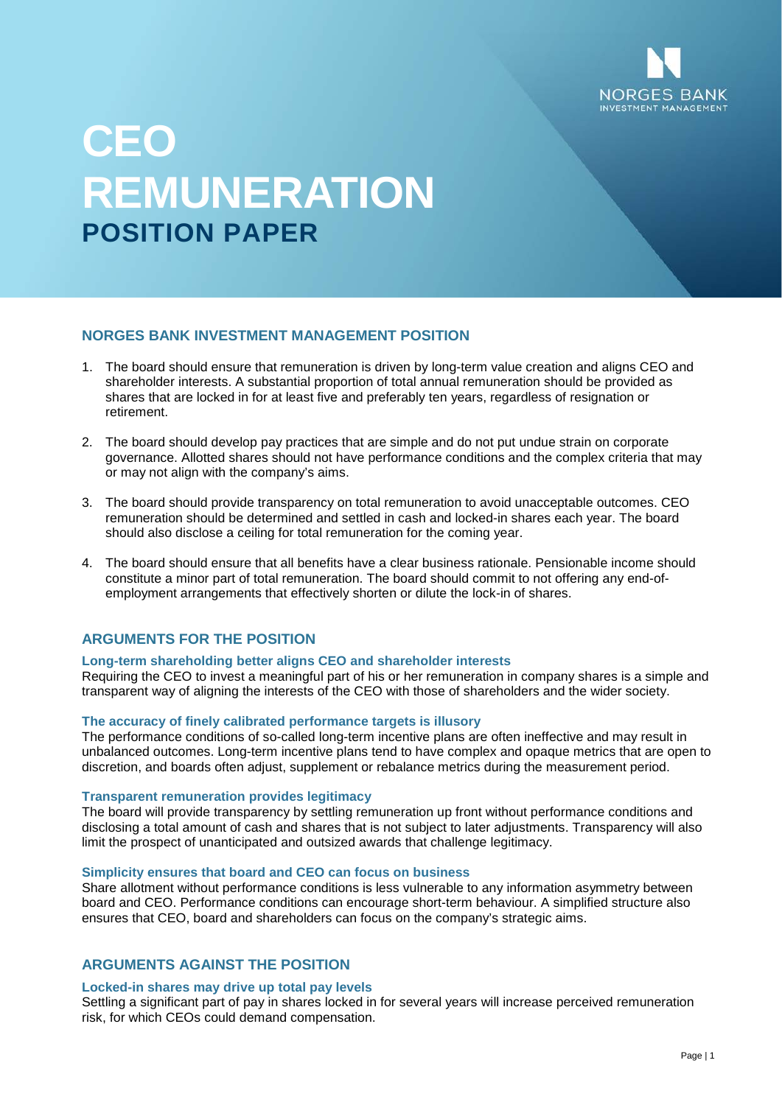

# **CEO REMUNERATION POSITION PAPER**

## **NORGES BANK INVESTMENT MANAGEMENT POSITION**

- 1. The board should ensure that remuneration is driven by long-term value creation and aligns CEO and shareholder interests. A substantial proportion of total annual remuneration should be provided as shares that are locked in for at least five and preferably ten years, regardless of resignation or retirement.
- 2. The board should develop pay practices that are simple and do not put undue strain on corporate governance. Allotted shares should not have performance conditions and the complex criteria that may or may not align with the company's aims.
- 3. The board should provide transparency on total remuneration to avoid unacceptable outcomes. CEO remuneration should be determined and settled in cash and locked-in shares each year. The board should also disclose a ceiling for total remuneration for the coming year.
- 4. The board should ensure that all benefits have a clear business rationale. Pensionable income should constitute a minor part of total remuneration. The board should commit to not offering any end-ofemployment arrangements that effectively shorten or dilute the lock-in of shares.

## **ARGUMENTS FOR THE POSITION**

## **Long-term shareholding better aligns CEO and shareholder interests**

Requiring the CEO to invest a meaningful part of his or her remuneration in company shares is a simple and transparent way of aligning the interests of the CEO with those of shareholders and the wider society.

## **The accuracy of finely calibrated performance targets is illusory**

The performance conditions of so-called long-term incentive plans are often ineffective and may result in unbalanced outcomes. Long-term incentive plans tend to have complex and opaque metrics that are open to discretion, and boards often adjust, supplement or rebalance metrics during the measurement period.

## **Transparent remuneration provides legitimacy**

The board will provide transparency by settling remuneration up front without performance conditions and disclosing a total amount of cash and shares that is not subject to later adjustments. Transparency will also limit the prospect of unanticipated and outsized awards that challenge legitimacy.

## **Simplicity ensures that board and CEO can focus on business**

Share allotment without performance conditions is less vulnerable to any information asymmetry between board and CEO. Performance conditions can encourage short-term behaviour. A simplified structure also ensures that CEO, board and shareholders can focus on the company's strategic aims.

## **ARGUMENTS AGAINST THE POSITION**

#### **Locked-in shares may drive up total pay levels**

Settling a significant part of pay in shares locked in for several years will increase perceived remuneration risk, for which CEOs could demand compensation.